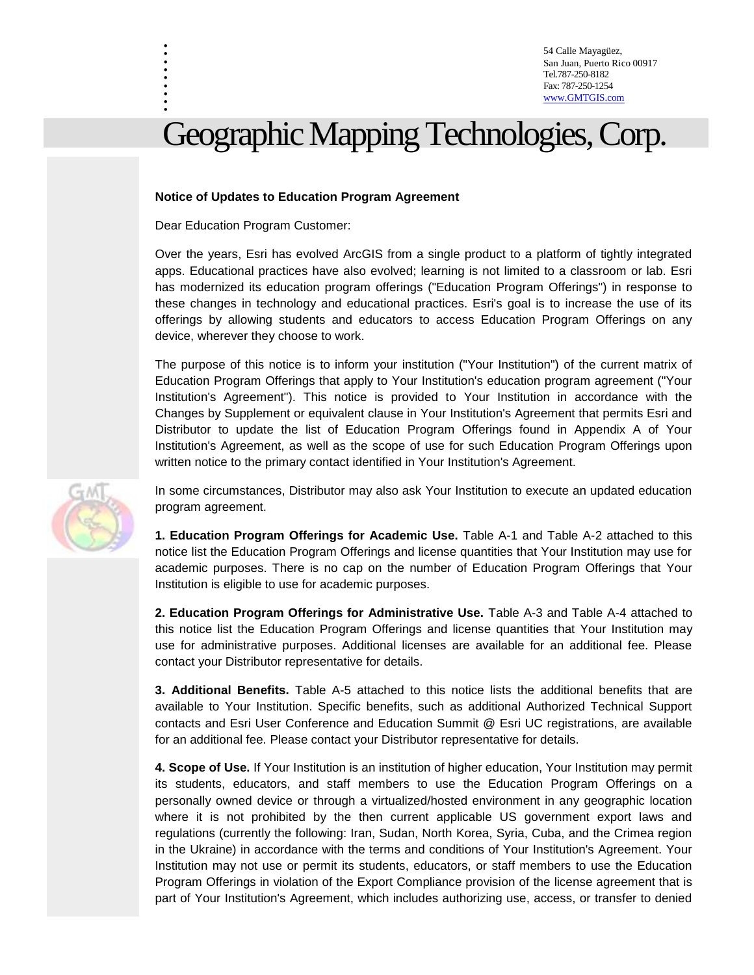54 Calle Mayagüez, San Juan, Puerto Rico 00917 Tel.787-250-8182 Fax: 787-250-1254 [www.GMTGIS.com](http://www.gmtgis.com/)

# Geographic Mapping Technologies, Corp.

#### **Notice of Updates to Education Program Agreement**

Dear Education Program Customer:

. . . . . . . . .

Over the years, Esri has evolved ArcGIS from a single product to a platform of tightly integrated apps. Educational practices have also evolved; learning is not limited to a classroom or lab. Esri has modernized its education program offerings ("Education Program Offerings") in response to these changes in technology and educational practices. Esri's goal is to increase the use of its offerings by allowing students and educators to access Education Program Offerings on any device, wherever they choose to work.

The purpose of this notice is to inform your institution ("Your Institution") of the current matrix of Education Program Offerings that apply to Your Institution's education program agreement ("Your Institution's Agreement"). This notice is provided to Your Institution in accordance with the Changes by Supplement or equivalent clause in Your Institution's Agreement that permits Esri and Distributor to update the list of Education Program Offerings found in Appendix A of Your Institution's Agreement, as well as the scope of use for such Education Program Offerings upon written notice to the primary contact identified in Your Institution's Agreement.

In some circumstances, Distributor may also ask Your Institution to execute an updated education program agreement.

**1. Education Program Offerings for Academic Use.** Table A-1 and Table A-2 attached to this notice list the Education Program Offerings and license quantities that Your Institution may use for academic purposes. There is no cap on the number of Education Program Offerings that Your Institution is eligible to use for academic purposes.

**2. Education Program Offerings for Administrative Use.** Table A-3 and Table A-4 attached to this notice list the Education Program Offerings and license quantities that Your Institution may use for administrative purposes. Additional licenses are available for an additional fee. Please contact your Distributor representative for details.

**3. Additional Benefits.** Table A-5 attached to this notice lists the additional benefits that are available to Your Institution. Specific benefits, such as additional Authorized Technical Support contacts and Esri User Conference and Education Summit @ Esri UC registrations, are available for an additional fee. Please contact your Distributor representative for details.

**4. Scope of Use.** If Your Institution is an institution of higher education, Your Institution may permit its students, educators, and staff members to use the Education Program Offerings on a personally owned device or through a virtualized/hosted environment in any geographic location where it is not prohibited by the then current applicable US government export laws and regulations (currently the following: Iran, Sudan, North Korea, Syria, Cuba, and the Crimea region in the Ukraine) in accordance with the terms and conditions of Your Institution's Agreement. Your Institution may not use or permit its students, educators, or staff members to use the Education Program Offerings in violation of the Export Compliance provision of the license agreement that is part of Your Institution's Agreement, which includes authorizing use, access, or transfer to denied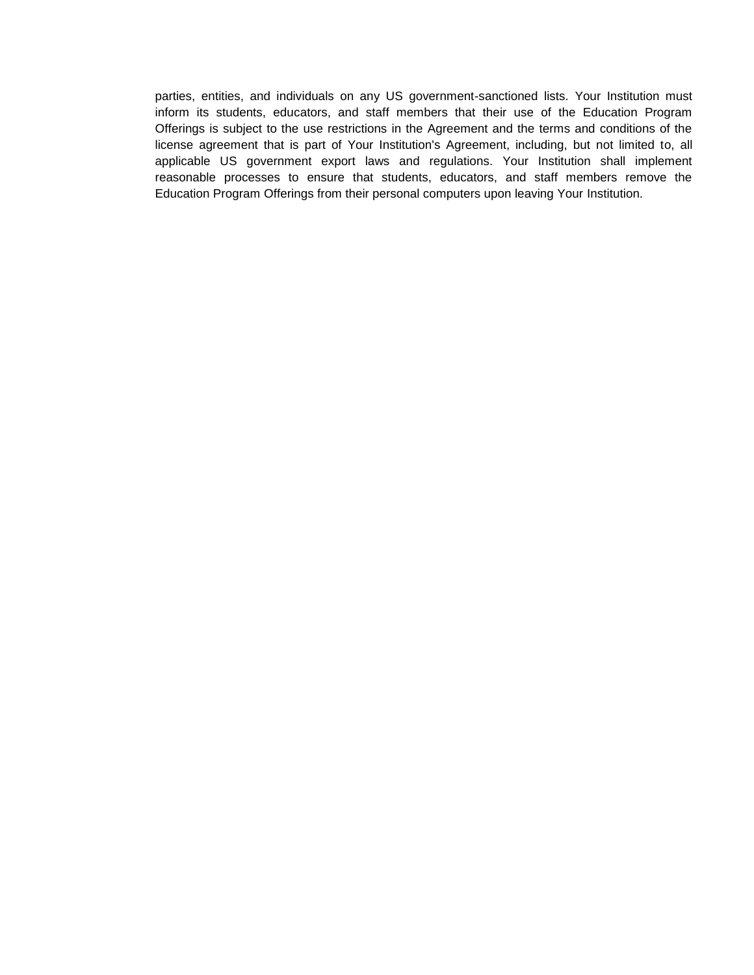parties, entities, and individuals on any US government-sanctioned lists. Your Institution must inform its students, educators, and staff members that their use of the Education Program Offerings is subject to the use restrictions in the Agreement and the terms and conditions of the license agreement that is part of Your Institution's Agreement, including, but not limited to, all applicable US government export laws and regulations. Your Institution shall implement reasonable processes to ensure that students, educators, and staff members remove the Education Program Offerings from their personal computers upon leaving Your Institution.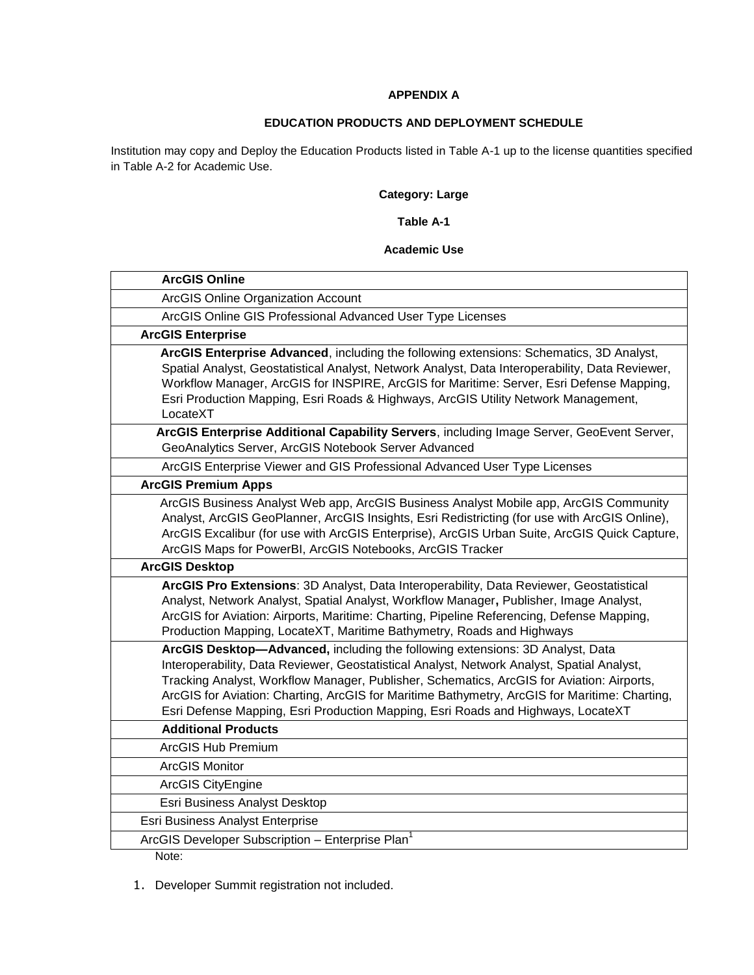#### **APPENDIX A**

## **EDUCATION PRODUCTS AND DEPLOYMENT SCHEDULE**

Institution may copy and Deploy the Education Products listed in Table A-1 up to the license quantities specified in Table A-2 for Academic Use.

# **Category: Large**

#### **Table A-1**

#### **Academic Use**

| <b>ArcGIS Online</b>                                                                                                                                                                                                                                                                                                                                                                                                                                          |
|---------------------------------------------------------------------------------------------------------------------------------------------------------------------------------------------------------------------------------------------------------------------------------------------------------------------------------------------------------------------------------------------------------------------------------------------------------------|
| ArcGIS Online Organization Account                                                                                                                                                                                                                                                                                                                                                                                                                            |
| ArcGIS Online GIS Professional Advanced User Type Licenses                                                                                                                                                                                                                                                                                                                                                                                                    |
| <b>ArcGIS Enterprise</b>                                                                                                                                                                                                                                                                                                                                                                                                                                      |
| ArcGIS Enterprise Advanced, including the following extensions: Schematics, 3D Analyst,<br>Spatial Analyst, Geostatistical Analyst, Network Analyst, Data Interoperability, Data Reviewer,<br>Workflow Manager, ArcGIS for INSPIRE, ArcGIS for Maritime: Server, Esri Defense Mapping,<br>Esri Production Mapping, Esri Roads & Highways, ArcGIS Utility Network Management,<br>LocateXT                                                                      |
| ArcGIS Enterprise Additional Capability Servers, including Image Server, GeoEvent Server,<br>GeoAnalytics Server, ArcGIS Notebook Server Advanced                                                                                                                                                                                                                                                                                                             |
| ArcGIS Enterprise Viewer and GIS Professional Advanced User Type Licenses                                                                                                                                                                                                                                                                                                                                                                                     |
| <b>ArcGIS Premium Apps</b>                                                                                                                                                                                                                                                                                                                                                                                                                                    |
| ArcGIS Business Analyst Web app, ArcGIS Business Analyst Mobile app, ArcGIS Community<br>Analyst, ArcGIS GeoPlanner, ArcGIS Insights, Esri Redistricting (for use with ArcGIS Online),<br>ArcGIS Excalibur (for use with ArcGIS Enterprise), ArcGIS Urban Suite, ArcGIS Quick Capture,<br>ArcGIS Maps for PowerBI, ArcGIS Notebooks, ArcGIS Tracker                                                                                                           |
| <b>ArcGIS Desktop</b>                                                                                                                                                                                                                                                                                                                                                                                                                                         |
| ArcGIS Pro Extensions: 3D Analyst, Data Interoperability, Data Reviewer, Geostatistical<br>Analyst, Network Analyst, Spatial Analyst, Workflow Manager, Publisher, Image Analyst,<br>ArcGIS for Aviation: Airports, Maritime: Charting, Pipeline Referencing, Defense Mapping,<br>Production Mapping, LocateXT, Maritime Bathymetry, Roads and Highways                                                                                                       |
| ArcGIS Desktop-Advanced, including the following extensions: 3D Analyst, Data<br>Interoperability, Data Reviewer, Geostatistical Analyst, Network Analyst, Spatial Analyst,<br>Tracking Analyst, Workflow Manager, Publisher, Schematics, ArcGIS for Aviation: Airports,<br>ArcGIS for Aviation: Charting, ArcGIS for Maritime Bathymetry, ArcGIS for Maritime: Charting,<br>Esri Defense Mapping, Esri Production Mapping, Esri Roads and Highways, LocateXT |
| <b>Additional Products</b>                                                                                                                                                                                                                                                                                                                                                                                                                                    |
| <b>ArcGIS Hub Premium</b>                                                                                                                                                                                                                                                                                                                                                                                                                                     |
| <b>ArcGIS Monitor</b>                                                                                                                                                                                                                                                                                                                                                                                                                                         |
| ArcGIS CityEngine                                                                                                                                                                                                                                                                                                                                                                                                                                             |
| Esri Business Analyst Desktop                                                                                                                                                                                                                                                                                                                                                                                                                                 |
| Esri Business Analyst Enterprise                                                                                                                                                                                                                                                                                                                                                                                                                              |
| ArcGIS Developer Subscription - Enterprise Plan <sup>1</sup>                                                                                                                                                                                                                                                                                                                                                                                                  |
| Note:                                                                                                                                                                                                                                                                                                                                                                                                                                                         |

1. Developer Summit registration not included.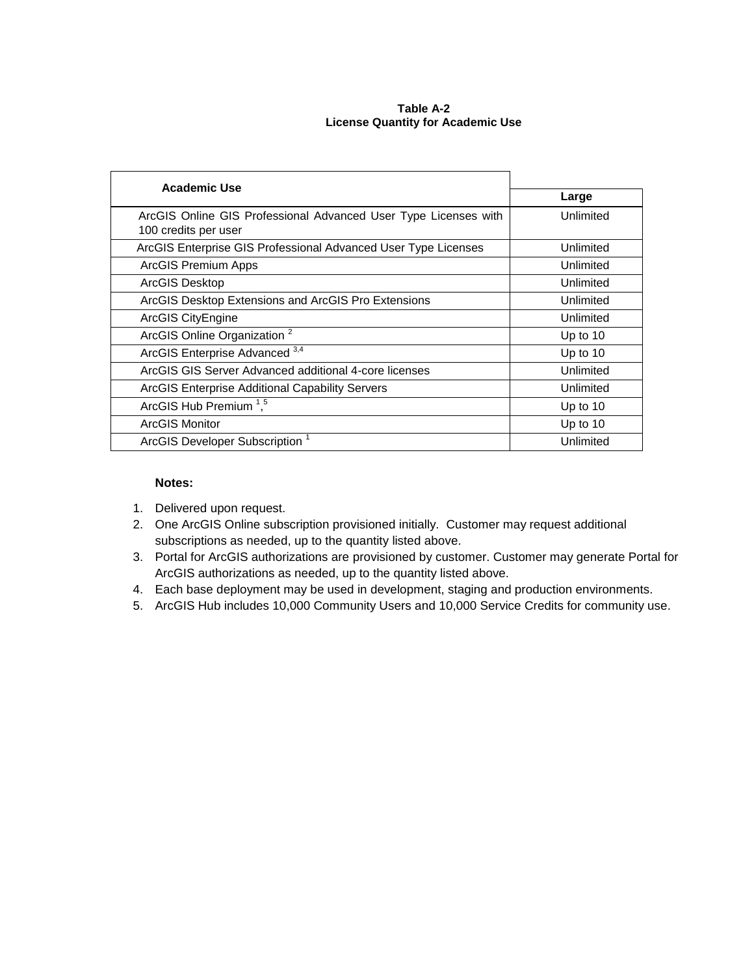#### **Table A-2 License Quantity for Academic Use**

| Large      |
|------------|
| Unlimited  |
|            |
| Unlimited  |
| Unlimited  |
| Unlimited  |
| Unlimited  |
| Unlimited  |
| Up to $10$ |
| Up to 10   |
| Unlimited  |
| Unlimited  |
| Up to 10   |
| Up to 10   |
| Unlimited  |
|            |

#### **Notes:**

- 1. Delivered upon request.
- 2. One ArcGIS Online subscription provisioned initially. Customer may request additional subscriptions as needed, up to the quantity listed above.
- 3. Portal for ArcGIS authorizations are provisioned by customer. Customer may generate Portal for ArcGIS authorizations as needed, up to the quantity listed above.
- 4. Each base deployment may be used in development, staging and production environments.
- 5. ArcGIS Hub includes 10,000 Community Users and 10,000 Service Credits for community use.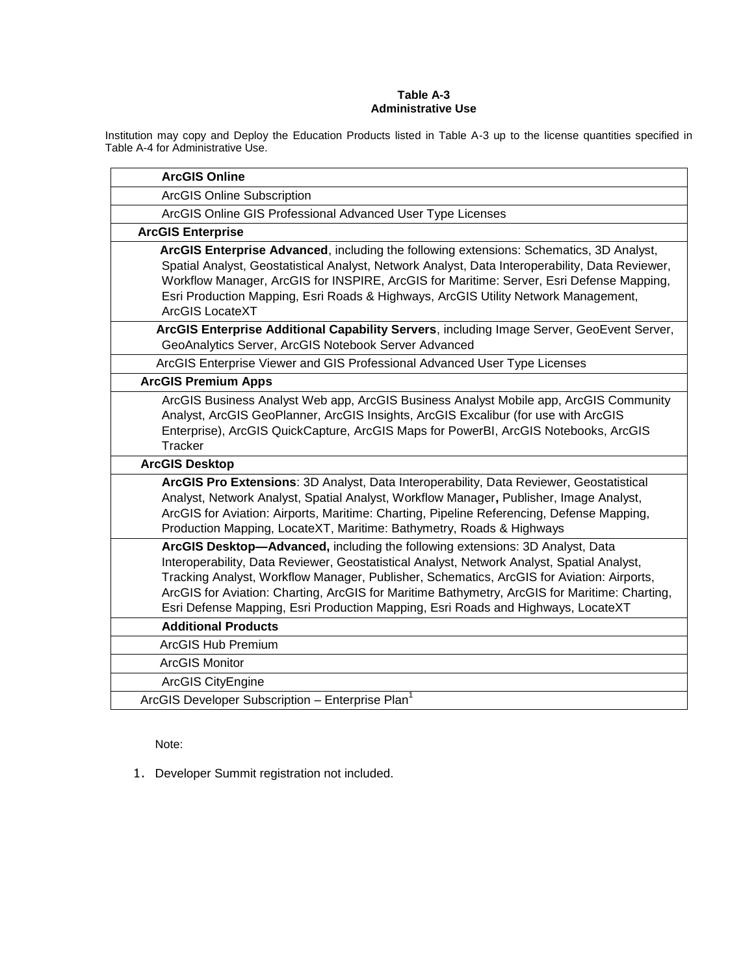#### **Table A-3 Administrative Use**

Institution may copy and Deploy the Education Products listed in Table A-3 up to the license quantities specified in Table A-4 for Administrative Use.

| <b>ArcGIS Online</b>                                                                                                                                                                                                                                                                                                                                                                                   |
|--------------------------------------------------------------------------------------------------------------------------------------------------------------------------------------------------------------------------------------------------------------------------------------------------------------------------------------------------------------------------------------------------------|
| <b>ArcGIS Online Subscription</b>                                                                                                                                                                                                                                                                                                                                                                      |
| ArcGIS Online GIS Professional Advanced User Type Licenses                                                                                                                                                                                                                                                                                                                                             |
| <b>ArcGIS Enterprise</b>                                                                                                                                                                                                                                                                                                                                                                               |
| ArcGIS Enterprise Advanced, including the following extensions: Schematics, 3D Analyst,<br>Spatial Analyst, Geostatistical Analyst, Network Analyst, Data Interoperability, Data Reviewer,<br>Workflow Manager, ArcGIS for INSPIRE, ArcGIS for Maritime: Server, Esri Defense Mapping,<br>Esri Production Mapping, Esri Roads & Highways, ArcGIS Utility Network Management,<br><b>ArcGIS LocateXT</b> |
| ArcGIS Enterprise Additional Capability Servers, including Image Server, GeoEvent Server,<br>GeoAnalytics Server, ArcGIS Notebook Server Advanced                                                                                                                                                                                                                                                      |
| ArcGIS Enterprise Viewer and GIS Professional Advanced User Type Licenses                                                                                                                                                                                                                                                                                                                              |
| <b>ArcGIS Premium Apps</b>                                                                                                                                                                                                                                                                                                                                                                             |
| ArcGIS Business Analyst Web app, ArcGIS Business Analyst Mobile app, ArcGIS Community<br>Analyst, ArcGIS GeoPlanner, ArcGIS Insights, ArcGIS Excalibur (for use with ArcGIS<br>Enterprise), ArcGIS QuickCapture, ArcGIS Maps for PowerBI, ArcGIS Notebooks, ArcGIS<br>Tracker                                                                                                                          |
| <b>ArcGIS Desktop</b>                                                                                                                                                                                                                                                                                                                                                                                  |
| ArcGIS Pro Extensions: 3D Analyst, Data Interoperability, Data Reviewer, Geostatistical<br>Analyst, Network Analyst, Spatial Analyst, Workflow Manager, Publisher, Image Analyst,<br>ArcGIS for Aviation: Airports, Maritime: Charting, Pipeline Referencing, Defense Mapping,<br>Production Mapping, LocateXT, Maritime: Bathymetry, Roads & Highways                                                 |
| ArcGIS Desktop-Advanced, including the following extensions: 3D Analyst, Data<br>Interoperability, Data Reviewer, Geostatistical Analyst, Network Analyst, Spatial Analyst,<br>Tracking Analyst, Workflow Manager, Publisher, Schematics, ArcGIS for Aviation: Airports,                                                                                                                               |
| ArcGIS for Aviation: Charting, ArcGIS for Maritime Bathymetry, ArcGIS for Maritime: Charting,<br>Esri Defense Mapping, Esri Production Mapping, Esri Roads and Highways, LocateXT                                                                                                                                                                                                                      |
| <b>Additional Products</b>                                                                                                                                                                                                                                                                                                                                                                             |
| <b>ArcGIS Hub Premium</b>                                                                                                                                                                                                                                                                                                                                                                              |
| <b>ArcGIS Monitor</b>                                                                                                                                                                                                                                                                                                                                                                                  |
| <b>ArcGIS CityEngine</b>                                                                                                                                                                                                                                                                                                                                                                               |
| ArcGIS Developer Subscription - Enterprise Plan <sup>1</sup>                                                                                                                                                                                                                                                                                                                                           |

Note:

1. Developer Summit registration not included.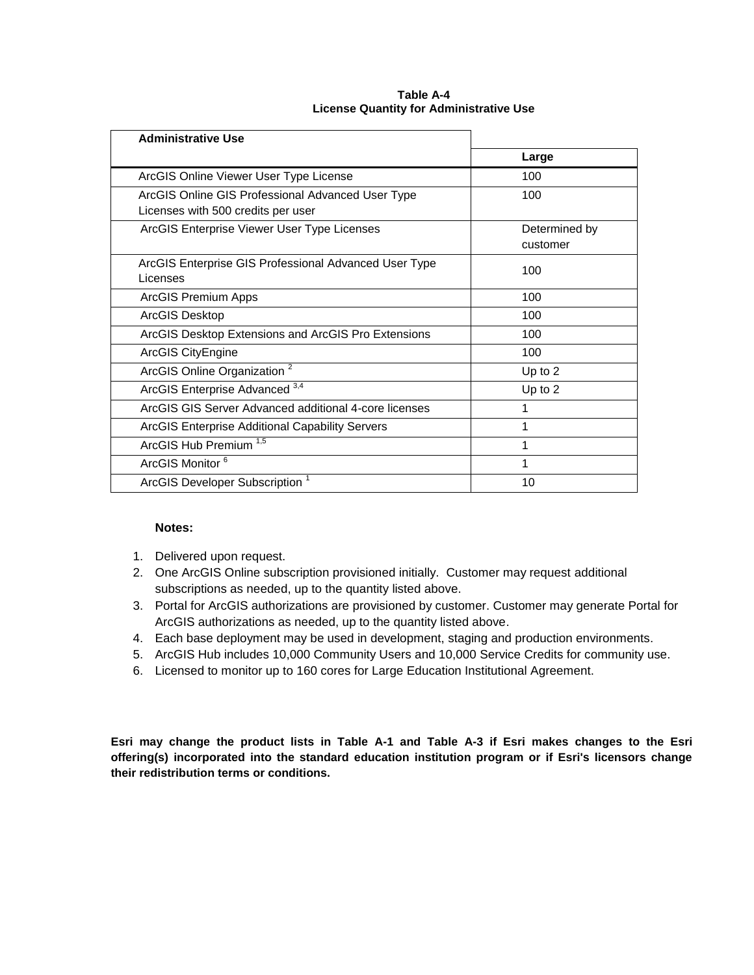| <b>Administrative Use</b>                                                               |                           |
|-----------------------------------------------------------------------------------------|---------------------------|
|                                                                                         | Large                     |
| ArcGIS Online Viewer User Type License                                                  | 100                       |
| ArcGIS Online GIS Professional Advanced User Type<br>Licenses with 500 credits per user | 100                       |
| ArcGIS Enterprise Viewer User Type Licenses                                             | Determined by<br>customer |
| ArcGIS Enterprise GIS Professional Advanced User Type<br>Licenses                       | 100                       |
| ArcGIS Premium Apps                                                                     | 100                       |
| ArcGIS Desktop                                                                          | 100                       |
| ArcGIS Desktop Extensions and ArcGIS Pro Extensions                                     | 100                       |
| ArcGIS CityEngine                                                                       | 100                       |
| ArcGIS Online Organization <sup>2</sup>                                                 | Up to 2                   |
| ArcGIS Enterprise Advanced 3,4                                                          | Up to 2                   |
| ArcGIS GIS Server Advanced additional 4-core licenses                                   | 1                         |
| ArcGIS Enterprise Additional Capability Servers                                         | 1                         |
| ArcGIS Hub Premium <sup>1,5</sup>                                                       | 1                         |
| ArcGIS Monitor <sup>6</sup>                                                             | 1                         |
| ArcGIS Developer Subscription <sup>1</sup>                                              | 10                        |

#### **Table A-4 License Quantity for Administrative Use**

### **Notes:**

- 1. Delivered upon request.
- 2. One ArcGIS Online subscription provisioned initially. Customer may request additional subscriptions as needed, up to the quantity listed above.
- 3. Portal for ArcGIS authorizations are provisioned by customer. Customer may generate Portal for ArcGIS authorizations as needed, up to the quantity listed above.
- 4. Each base deployment may be used in development, staging and production environments.
- 5. ArcGIS Hub includes 10,000 Community Users and 10,000 Service Credits for community use.
- 6. Licensed to monitor up to 160 cores for Large Education Institutional Agreement.

**Esri may change the product lists in Table A-1 and Table A-3 if Esri makes changes to the Esri offering(s) incorporated into the standard education institution program or if Esri's licensors change their redistribution terms or conditions.**